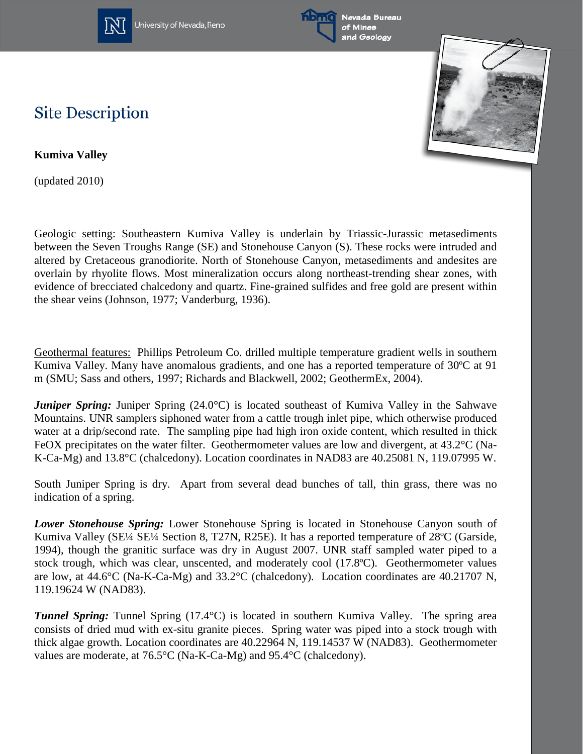

University of Nevada, Reno





## **Site Description**

**Kumiva Valley**

(updated 2010)

Geologic setting: Southeastern Kumiva Valley is underlain by Triassic-Jurassic metasediments between the Seven Troughs Range (SE) and Stonehouse Canyon (S). These rocks were intruded and altered by Cretaceous granodiorite. North of Stonehouse Canyon, metasediments and andesites are overlain by rhyolite flows. Most mineralization occurs along northeast-trending shear zones, with evidence of brecciated chalcedony and quartz. Fine-grained sulfides and free gold are present within the shear veins (Johnson, 1977; Vanderburg, 1936).

Geothermal features: Phillips Petroleum Co. drilled multiple temperature gradient wells in southern Kumiva Valley. Many have anomalous gradients, and one has a reported temperature of 30°C at 91 m (SMU; Sass and others, 1997; Richards and Blackwell, 2002; GeothermEx, 2004).

*Juniper Spring: Juniper Spring (24.0°C)* is located southeast of Kumiva Valley in the Sahwave Mountains. UNR samplers siphoned water from a cattle trough inlet pipe, which otherwise produced water at a drip/second rate. The sampling pipe had high iron oxide content, which resulted in thick FeOX precipitates on the water filter. Geothermometer values are low and divergent, at 43.2°C (Na-K-Ca-Mg) and 13.8°C (chalcedony). Location coordinates in NAD83 are 40.25081 N, 119.07995 W.

South Juniper Spring is dry. Apart from several dead bunches of tall, thin grass, there was no indication of a spring.

*Lower Stonehouse Spring:* Lower Stonehouse Spring is located in Stonehouse Canyon south of Kumiva Valley (SE¼ SE¼ Section 8, T27N, R25E). It has a reported temperature of 28ºC (Garside, 1994), though the granitic surface was dry in August 2007. UNR staff sampled water piped to a stock trough, which was clear, unscented, and moderately cool (17.8ºC). Geothermometer values are low, at 44.6°C (Na-K-Ca-Mg) and 33.2°C (chalcedony). Location coordinates are 40.21707 N, 119.19624 W (NAD83).

*Tunnel Spring:* Tunnel Spring (17.4°C) is located in southern Kumiva Valley. The spring area consists of dried mud with ex-situ granite pieces. Spring water was piped into a stock trough with thick algae growth. Location coordinates are 40.22964 N, 119.14537 W (NAD83). Geothermometer values are moderate, at 76.5°C (Na-K-Ca-Mg) and 95.4°C (chalcedony).